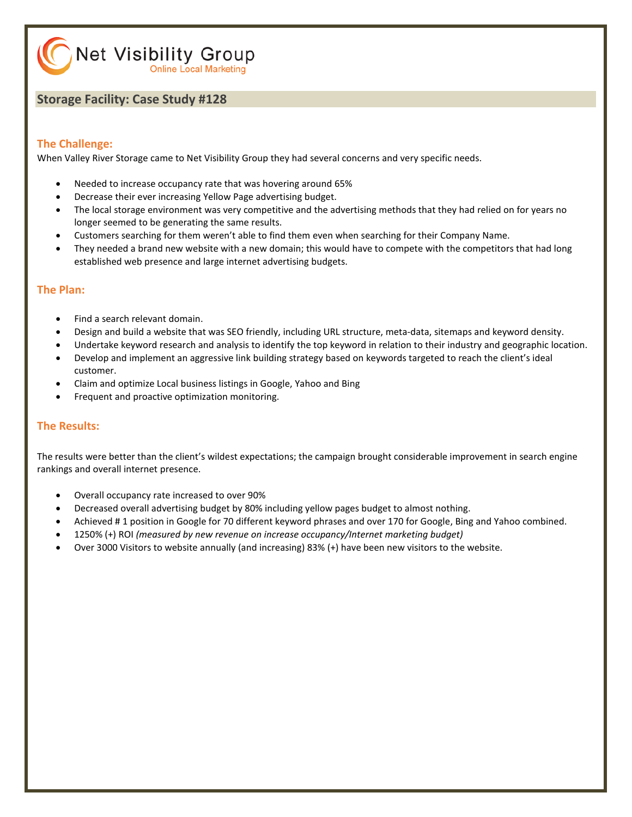Net Visibility Group **Online Local Marketing** 

#### **Storage Facility: Case Study #128**

#### **The Challenge:**

When Valley River Storage came to Net Visibility Group they had several concerns and very specific needs.

- Needed to increase occupancy rate that was hovering around 65%
- Decrease their ever increasing Yellow Page advertising budget.
- The local storage environment was very competitive and the advertising methods that they had relied on for years no longer seemed to be generating the same results.
- Customers searching for them weren't able to find them even when searching for their Company Name.
- They needed a brand new website with a new domain; this would have to compete with the competitors that had long established web presence and large internet advertising budgets.

#### **The Plan:**

- Find a search relevant domain.
- Design and build a website that was SEO friendly, including URL structure, meta-data, sitemaps and keyword density.
- Undertake keyword research and analysis to identify the top keyword in relation to their industry and geographic location.
- Develop and implement an aggressive link building strategy based on keywords targeted to reach the client's ideal customer.
- Claim and optimize Local business listings in Google, Yahoo and Bing
- Frequent and proactive optimization monitoring.

#### **The Results:**

The results were better than the client's wildest expectations; the campaign brought considerable improvement in search engine rankings and overall internet presence.

- Overall occupancy rate increased to over 90%
- Decreased overall advertising budget by 80% including yellow pages budget to almost nothing.
- Achieved # 1 position in Google for 70 different keyword phrases and over 170 for Google, Bing and Yahoo combined.
- 1250% (+) ROI *(measured by new revenue on increase occupancy/Internet marketing budget)*
- Over 3000 Visitors to website annually (and increasing) 83% (+) have been new visitors to the website.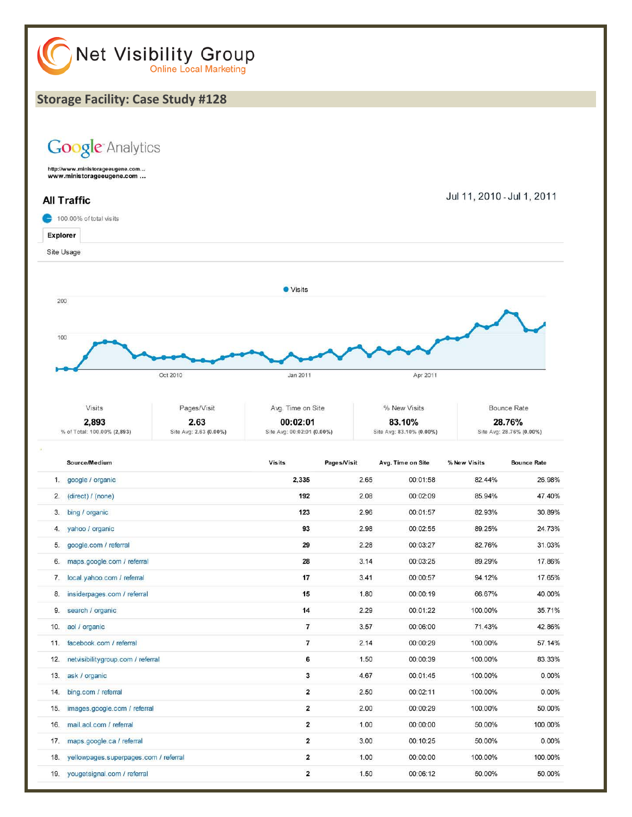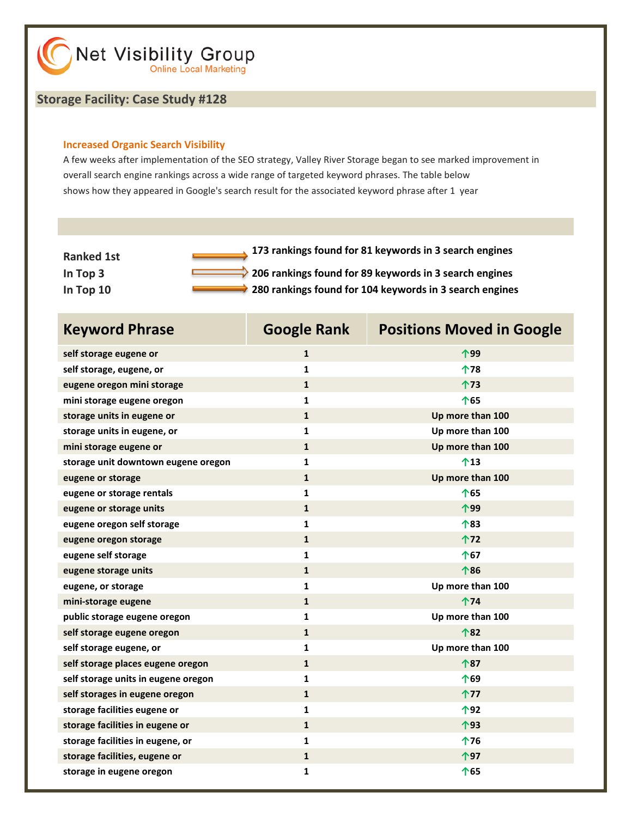#### **Storage Facility: Case Study #128**

#### **Increased Organic Search Visibility**

A few weeks after implementation of the SEO strategy, Valley River Storage began to see marked improvement in overall search engine rankings across a wide range of targeted keyword phrases. The table below shows how they appeared in Google's search result for the associated keyword phrase after 1 year

| <b>Ranked 1st</b> | 173 rankings found for 81 keywords in 3 search engines        |
|-------------------|---------------------------------------------------------------|
| In Top $3$        | $\geq$ 206 rankings found for 89 keywords in 3 search engines |
| In Top 10         | 280 rankings found for 104 keywords in 3 search engines       |

| <b>Keyword Phrase</b>               | <b>Google Rank</b> | <b>Positions Moved in Google</b> |
|-------------------------------------|--------------------|----------------------------------|
| self storage eugene or              | $\mathbf{1}$       | 个99                              |
| self storage, eugene, or            | $\mathbf{1}$       | ↑78                              |
| eugene oregon mini storage          | $\mathbf{1}$       | 个73                              |
| mini storage eugene oregon          | $\mathbf{1}$       | 个65                              |
| storage units in eugene or          | $\mathbf{1}$       | Up more than 100                 |
| storage units in eugene, or         | $\mathbf{1}$       | Up more than 100                 |
| mini storage eugene or              | $\mathbf{1}$       | Up more than 100                 |
| storage unit downtown eugene oregon | 1                  | 个13                              |
| eugene or storage                   | $\mathbf{1}$       | Up more than 100                 |
| eugene or storage rentals           | 1                  | 个65                              |
| eugene or storage units             | $\mathbf{1}$       | 个99                              |
| eugene oregon self storage          | $\mathbf{1}$       | 个83                              |
| eugene oregon storage               | $\mathbf{1}$       | 个72                              |
| eugene self storage                 | $\mathbf{1}$       | 个67                              |
| eugene storage units                | $\mathbf{1}$       | 个86                              |
| eugene, or storage                  | 1                  | Up more than 100                 |
| mini-storage eugene                 | $\mathbf{1}$       | ↑74                              |
| public storage eugene oregon        | 1                  | Up more than 100                 |
| self storage eugene oregon          | $\mathbf{1}$       | 个82                              |
| self storage eugene, or             | 1                  | Up more than 100                 |
| self storage places eugene oregon   | $\mathbf{1}$       | 个87                              |
| self storage units in eugene oregon | 1                  | 个69                              |
| self storages in eugene oregon      | $\mathbf{1}$       | 个77                              |
| storage facilities eugene or        | 1                  | 个92                              |
| storage facilities in eugene or     | $\mathbf{1}$       | 个93                              |
| storage facilities in eugene, or    | 1                  | ↑76                              |
| storage facilities, eugene or       | $\mathbf{1}$       | 个97                              |
| storage in eugene oregon            | 1                  | 个65                              |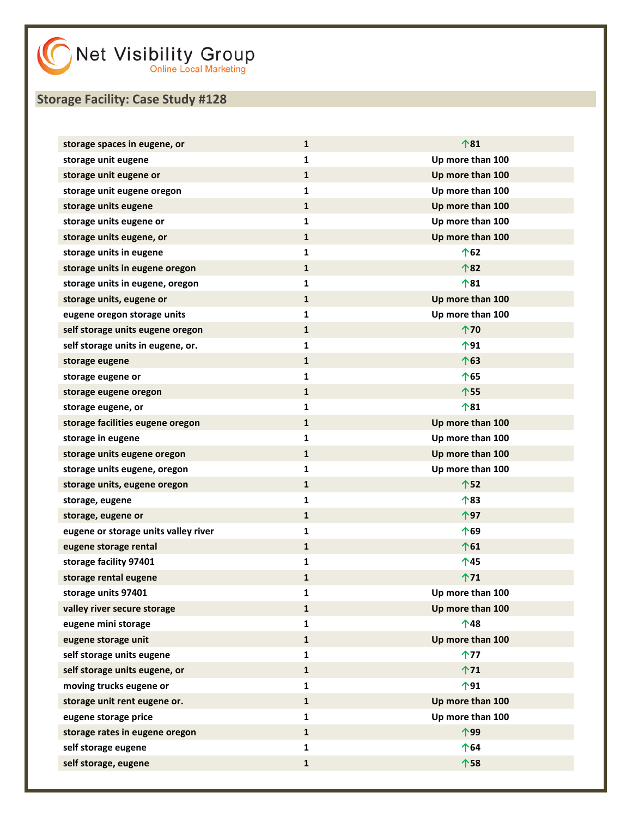| storage spaces in eugene, or         | $\mathbf{1}$ | 个81              |
|--------------------------------------|--------------|------------------|
| storage unit eugene                  | $\mathbf{1}$ | Up more than 100 |
| storage unit eugene or               | $\mathbf 1$  | Up more than 100 |
| storage unit eugene oregon           | $\mathbf{1}$ | Up more than 100 |
| storage units eugene                 | $\mathbf{1}$ | Up more than 100 |
| storage units eugene or              | 1            | Up more than 100 |
| storage units eugene, or             | $\mathbf 1$  | Up more than 100 |
| storage units in eugene              | $\mathbf{1}$ | 个62              |
| storage units in eugene oregon       | $\mathbf{1}$ | 个82              |
| storage units in eugene, oregon      | 1            | 个81              |
| storage units, eugene or             | 1            | Up more than 100 |
| eugene oregon storage units          | $\mathbf{1}$ | Up more than 100 |
| self storage units eugene oregon     | $\mathbf{1}$ | 个70              |
| self storage units in eugene, or.    | 1            | 个91              |
| storage eugene                       | $\mathbf 1$  | 个63              |
| storage eugene or                    | $\mathbf{1}$ | 个65              |
| storage eugene oregon                | $\mathbf{1}$ | 个55              |
| storage eugene, or                   | 1            | 个81              |
| storage facilities eugene oregon     | 1            | Up more than 100 |
| storage in eugene                    | $\mathbf{1}$ | Up more than 100 |
| storage units eugene oregon          | $\mathbf{1}$ | Up more than 100 |
| storage units eugene, oregon         | 1            | Up more than 100 |
| storage units, eugene oregon         | 1            | 个52              |
| storage, eugene                      | $\mathbf{1}$ | 个83              |
| storage, eugene or                   | $\mathbf{1}$ | 个97              |
| eugene or storage units valley river | 1            | 个69              |
| eugene storage rental                | $\mathbf 1$  | 个61              |
| storage facility 97401               | 1            | 个45              |
| storage rental eugene                | $\mathbf{1}$ | ↑71              |
| storage units 97401                  | 1            | Up more than 100 |
| valley river secure storage          | $\mathbf{1}$ | Up more than 100 |
| eugene mini storage                  | $\mathbf{1}$ | 个48              |
| eugene storage unit                  | $\mathbf{1}$ | Up more than 100 |
| self storage units eugene            | $\mathbf{1}$ | 个77              |
| self storage units eugene, or        | ${\bf 1}$    | 个71              |
| moving trucks eugene or              | $\mathbf{1}$ | 个91              |
| storage unit rent eugene or.         | $\mathbf 1$  | Up more than 100 |
| eugene storage price                 | $\mathbf{1}$ | Up more than 100 |
| storage rates in eugene oregon       | $\mathbf{1}$ | 个99              |
| self storage eugene                  | $\mathbf{1}$ | 个64              |
| self storage, eugene                 | $\mathbf{1}$ | 个58              |
|                                      |              |                  |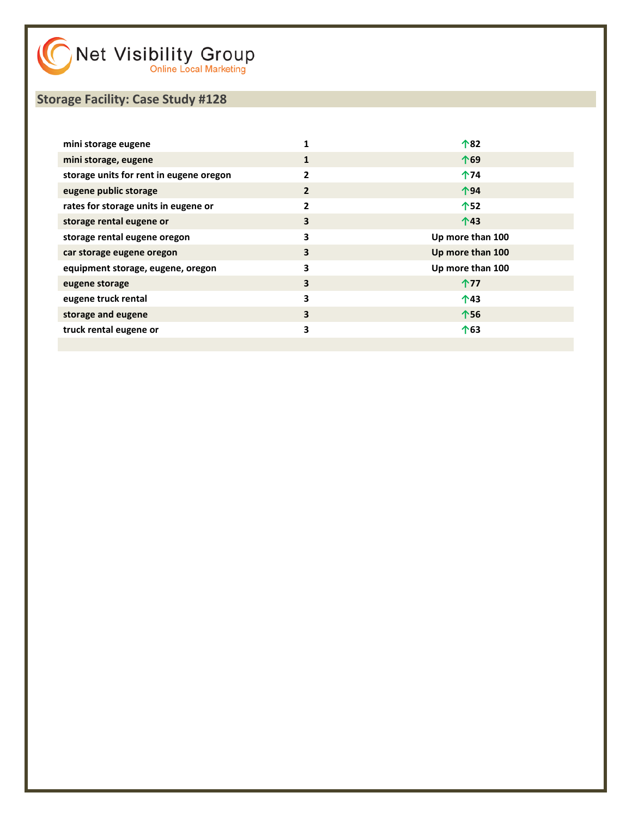| mini storage eugene                     |              | 个82              |
|-----------------------------------------|--------------|------------------|
| mini storage, eugene                    |              | 个69              |
| storage units for rent in eugene oregon | 2            | 个74              |
| eugene public storage                   | $\mathbf{2}$ | 个94              |
| rates for storage units in eugene or    | 2            | 个52              |
| storage rental eugene or                | 3            | $\bigwedge$ 43   |
| storage rental eugene oregon            | 3            | Up more than 100 |
| car storage eugene oregon               | 3            | Up more than 100 |
| equipment storage, eugene, oregon       | 3            | Up more than 100 |
| eugene storage                          | 3            | 个77              |
| eugene truck rental                     | 3            | 个43              |
| storage and eugene                      | 3            | 个56              |
| truck rental eugene or                  | 3            | 个63              |
|                                         |              |                  |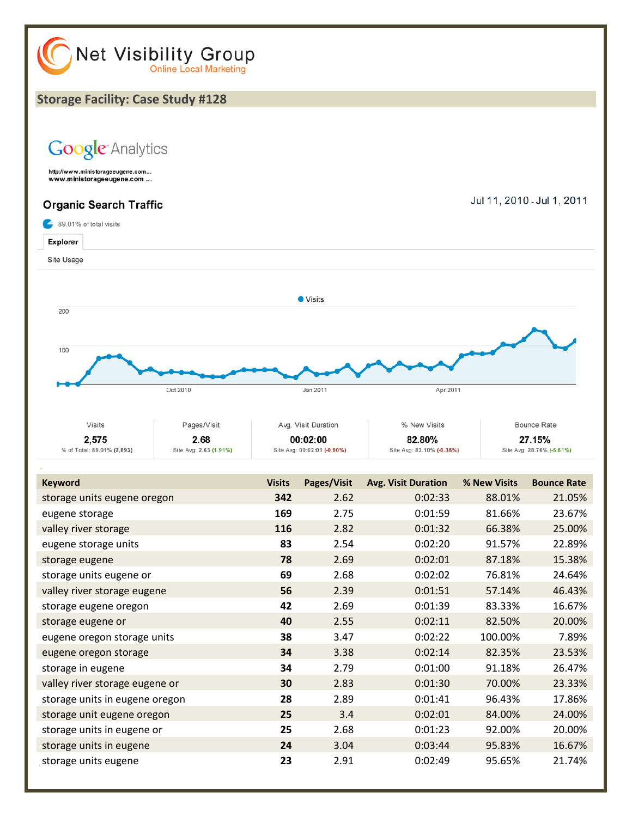

storage unit eugene oregon **25** 3.4 0:02:01 84.00% 24.00% storage units in eugene or **25** 2.68 0:01:23 92.00% 20.00% storage units in eugene **24** 3.04 0:03:44 95.83% 16.67% storage units eugene **23** 2.91 0:02:49 95.65% 21.74%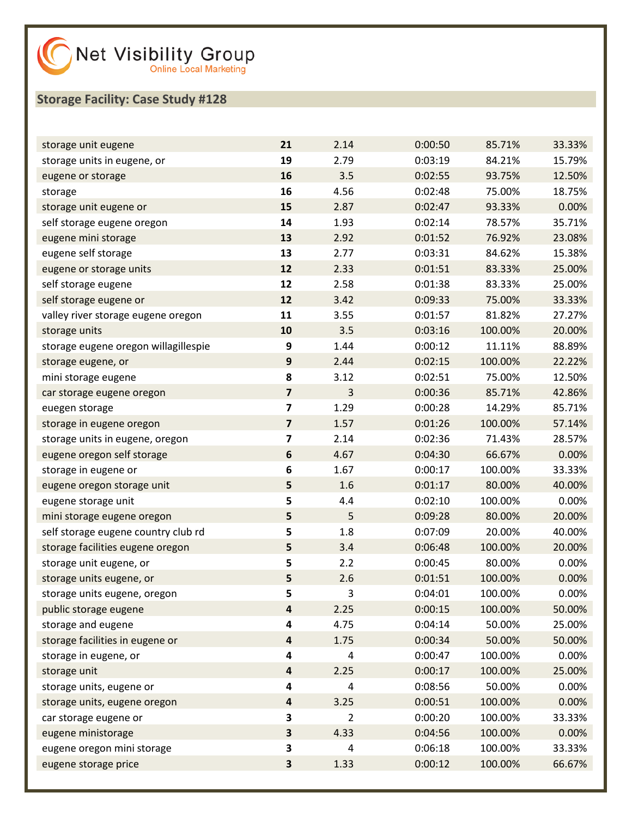| storage unit eugene                  | 21                      | 2.14           | 0:00:50 | 85.71%  | 33.33% |
|--------------------------------------|-------------------------|----------------|---------|---------|--------|
| storage units in eugene, or          | 19                      | 2.79           | 0:03:19 | 84.21%  | 15.79% |
| eugene or storage                    | 16                      | 3.5            | 0:02:55 | 93.75%  | 12.50% |
| storage                              | 16                      | 4.56           | 0:02:48 | 75.00%  | 18.75% |
| storage unit eugene or               | 15                      | 2.87           | 0:02:47 | 93.33%  | 0.00%  |
| self storage eugene oregon           | 14                      | 1.93           | 0:02:14 | 78.57%  | 35.71% |
| eugene mini storage                  | 13                      | 2.92           | 0:01:52 | 76.92%  | 23.08% |
| eugene self storage                  | 13                      | 2.77           | 0:03:31 | 84.62%  | 15.38% |
| eugene or storage units              | 12                      | 2.33           | 0:01:51 | 83.33%  | 25.00% |
| self storage eugene                  | 12                      | 2.58           | 0:01:38 | 83.33%  | 25.00% |
| self storage eugene or               | 12                      | 3.42           | 0:09:33 | 75.00%  | 33.33% |
| valley river storage eugene oregon   | 11                      | 3.55           | 0:01:57 | 81.82%  | 27.27% |
| storage units                        | 10                      | 3.5            | 0:03:16 | 100.00% | 20.00% |
| storage eugene oregon willagillespie | 9                       | 1.44           | 0:00:12 | 11.11%  | 88.89% |
| storage eugene, or                   | $\boldsymbol{9}$        | 2.44           | 0:02:15 | 100.00% | 22.22% |
| mini storage eugene                  | 8                       | 3.12           | 0:02:51 | 75.00%  | 12.50% |
| car storage eugene oregon            | $\overline{\mathbf{z}}$ | 3              | 0:00:36 | 85.71%  | 42.86% |
| euegen storage                       | $\overline{\mathbf{z}}$ | 1.29           | 0:00:28 | 14.29%  | 85.71% |
| storage in eugene oregon             | $\overline{\mathbf{z}}$ | 1.57           | 0:01:26 | 100.00% | 57.14% |
| storage units in eugene, oregon      | $\overline{\mathbf{z}}$ | 2.14           | 0:02:36 | 71.43%  | 28.57% |
| eugene oregon self storage           | $\boldsymbol{6}$        | 4.67           | 0:04:30 | 66.67%  | 0.00%  |
| storage in eugene or                 | 6                       | 1.67           | 0:00:17 | 100.00% | 33.33% |
| eugene oregon storage unit           | 5                       | 1.6            | 0:01:17 | 80.00%  | 40.00% |
| eugene storage unit                  | 5                       | 4.4            | 0:02:10 | 100.00% | 0.00%  |
| mini storage eugene oregon           | 5                       | 5              | 0:09:28 | 80.00%  | 20.00% |
| self storage eugene country club rd  | 5                       | 1.8            | 0:07:09 | 20.00%  | 40.00% |
| storage facilities eugene oregon     | 5                       | 3.4            | 0:06:48 | 100.00% | 20.00% |
| storage unit eugene, or              | 5                       | 2.2            | 0:00:45 | 80.00%  | 0.00%  |
| storage units eugene, or             | 5                       | 2.6            | 0:01:51 | 100.00% | 0.00%  |
| storage units eugene, oregon         | 5                       | 3              | 0:04:01 | 100.00% | 0.00%  |
| public storage eugene                | $\overline{\mathbf{a}}$ | 2.25           | 0:00:15 | 100.00% | 50.00% |
| storage and eugene                   | 4                       | 4.75           | 0:04:14 | 50.00%  | 25.00% |
| storage facilities in eugene or      | $\overline{\mathbf{r}}$ | 1.75           | 0:00:34 | 50.00%  | 50.00% |
| storage in eugene, or                | 4                       | 4              | 0:00:47 | 100.00% | 0.00%  |
| storage unit                         | $\overline{\mathbf{r}}$ | 2.25           | 0:00:17 | 100.00% | 25.00% |
| storage units, eugene or             | 4                       | 4              | 0:08:56 | 50.00%  | 0.00%  |
| storage units, eugene oregon         | $\overline{\mathbf{r}}$ | 3.25           | 0:00:51 | 100.00% | 0.00%  |
| car storage eugene or                | 3                       | $\overline{2}$ | 0:00:20 | 100.00% | 33.33% |
| eugene ministorage                   | 3                       | 4.33           | 0:04:56 | 100.00% | 0.00%  |
| eugene oregon mini storage           | 3                       | 4              | 0:06:18 | 100.00% | 33.33% |
| eugene storage price                 | 3                       | 1.33           | 0:00:12 | 100.00% | 66.67% |
|                                      |                         |                |         |         |        |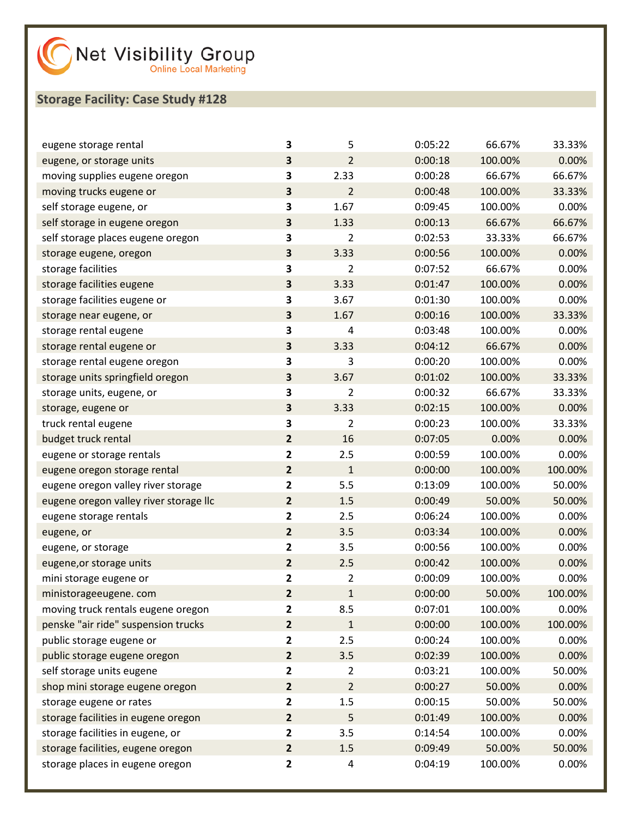| eugene storage rental                  | 3                       | 5              | 0:05:22 | 66.67%  | 33.33%  |
|----------------------------------------|-------------------------|----------------|---------|---------|---------|
| eugene, or storage units               | 3                       | $\overline{2}$ | 0:00:18 | 100.00% | 0.00%   |
| moving supplies eugene oregon          | 3                       | 2.33           | 0:00:28 | 66.67%  | 66.67%  |
| moving trucks eugene or                | 3                       | $\overline{2}$ | 0:00:48 | 100.00% | 33.33%  |
| self storage eugene, or                | 3                       | 1.67           | 0:09:45 | 100.00% | 0.00%   |
| self storage in eugene oregon          | 3                       | 1.33           | 0:00:13 | 66.67%  | 66.67%  |
| self storage places eugene oregon      | 3                       | $\overline{2}$ | 0:02:53 | 33.33%  | 66.67%  |
| storage eugene, oregon                 | 3                       | 3.33           | 0:00:56 | 100.00% | 0.00%   |
| storage facilities                     | 3                       | $\overline{2}$ | 0:07:52 | 66.67%  | 0.00%   |
| storage facilities eugene              | 3                       | 3.33           | 0:01:47 | 100.00% | 0.00%   |
| storage facilities eugene or           | 3                       | 3.67           | 0:01:30 | 100.00% | 0.00%   |
| storage near eugene, or                | 3                       | 1.67           | 0:00:16 | 100.00% | 33.33%  |
| storage rental eugene                  | 3                       | 4              | 0:03:48 | 100.00% | 0.00%   |
| storage rental eugene or               | 3                       | 3.33           | 0:04:12 | 66.67%  | 0.00%   |
| storage rental eugene oregon           | 3                       | 3              | 0:00:20 | 100.00% | 0.00%   |
| storage units springfield oregon       | 3                       | 3.67           | 0:01:02 | 100.00% | 33.33%  |
| storage units, eugene, or              | 3                       | $\overline{2}$ | 0:00:32 | 66.67%  | 33.33%  |
| storage, eugene or                     | 3                       | 3.33           | 0:02:15 | 100.00% | 0.00%   |
| truck rental eugene                    | 3                       | $\overline{2}$ | 0:00:23 | 100.00% | 33.33%  |
| budget truck rental                    | $\overline{2}$          | 16             | 0:07:05 | 0.00%   | 0.00%   |
| eugene or storage rentals              | $\mathbf{2}$            | 2.5            | 0:00:59 | 100.00% | 0.00%   |
| eugene oregon storage rental           | $\overline{2}$          | $\mathbf 1$    | 0:00:00 | 100.00% | 100.00% |
| eugene oregon valley river storage     | $\mathbf{2}$            | 5.5            | 0:13:09 | 100.00% | 50.00%  |
| eugene oregon valley river storage llc | $\overline{2}$          | 1.5            | 0:00:49 | 50.00%  | 50.00%  |
| eugene storage rentals                 | $\mathbf{2}$            | 2.5            | 0:06:24 | 100.00% | 0.00%   |
| eugene, or                             | $\overline{2}$          | 3.5            | 0:03:34 | 100.00% | 0.00%   |
| eugene, or storage                     | $\mathbf{2}$            | 3.5            | 0:00:56 | 100.00% | 0.00%   |
| eugene, or storage units               | $\overline{2}$          | 2.5            | 0:00:42 | 100.00% | 0.00%   |
| mini storage eugene or                 | $\mathbf{2}$            | $\overline{2}$ | 0:00:09 | 100.00% | 0.00%   |
| ministorageeugene. com                 | $\overline{\mathbf{2}}$ | $\mathbf{1}$   | 0:00:00 | 50.00%  | 100.00% |
| moving truck rentals eugene oregon     | $\mathbf{2}$            | 8.5            | 0:07:01 | 100.00% | 0.00%   |
| penske "air ride" suspension trucks    | $\overline{2}$          | $\mathbf{1}$   | 0:00:00 | 100.00% | 100.00% |
| public storage eugene or               | $\mathbf{2}$            | 2.5            | 0:00:24 | 100.00% | 0.00%   |
| public storage eugene oregon           | $\overline{2}$          | 3.5            | 0:02:39 | 100.00% | 0.00%   |
| self storage units eugene              | 2                       | $\overline{2}$ | 0:03:21 | 100.00% | 50.00%  |
| shop mini storage eugene oregon        | $\overline{2}$          | $\overline{2}$ | 0:00:27 | 50.00%  | 0.00%   |
| storage eugene or rates                | $\mathbf{2}$            | 1.5            | 0:00:15 | 50.00%  | 50.00%  |
| storage facilities in eugene oregon    | $\mathbf{2}$            | 5              | 0:01:49 | 100.00% | 0.00%   |
| storage facilities in eugene, or       | 2                       | 3.5            | 0:14:54 | 100.00% | 0.00%   |
| storage facilities, eugene oregon      | $\overline{2}$          | 1.5            | 0:09:49 | 50.00%  | 50.00%  |
| storage places in eugene oregon        | $\mathbf{2}$            | 4              | 0:04:19 | 100.00% | 0.00%   |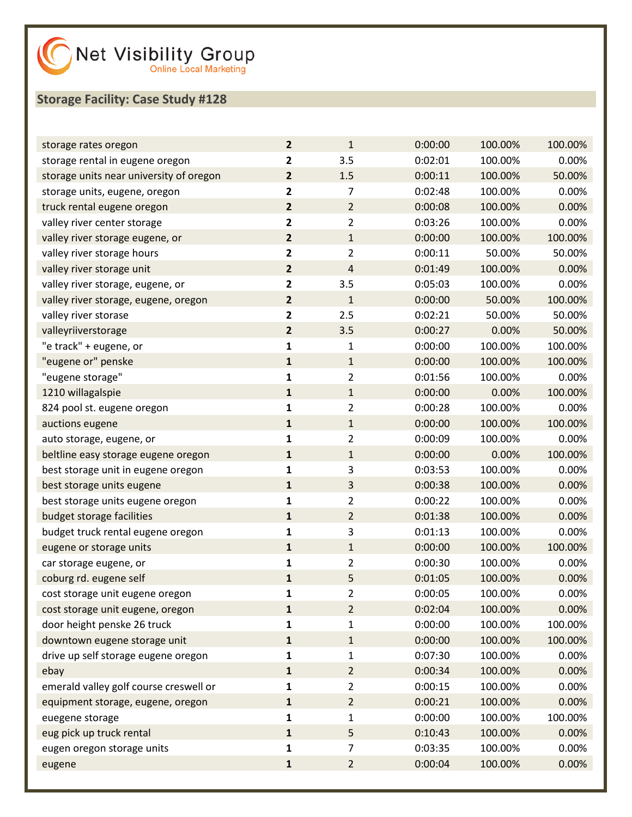| storage rates oregon                    | $\overline{2}$          | $\mathbf{1}$   | 0:00:00 | 100.00% | 100.00% |
|-----------------------------------------|-------------------------|----------------|---------|---------|---------|
| storage rental in eugene oregon         | $\mathbf{2}$            | 3.5            | 0:02:01 | 100.00% | 0.00%   |
| storage units near university of oregon | $\overline{2}$          | 1.5            | 0:00:11 | 100.00% | 50.00%  |
| storage units, eugene, oregon           | $\overline{\mathbf{2}}$ | 7              | 0:02:48 | 100.00% | 0.00%   |
| truck rental eugene oregon              | $\overline{2}$          | $\overline{2}$ | 0:00:08 | 100.00% | 0.00%   |
| valley river center storage             | $\mathbf{2}$            | $\overline{2}$ | 0:03:26 | 100.00% | 0.00%   |
| valley river storage eugene, or         | $\overline{2}$          | $\mathbf{1}$   | 0:00:00 | 100.00% | 100.00% |
| valley river storage hours              | $\overline{\mathbf{2}}$ | $\overline{2}$ | 0:00:11 | 50.00%  | 50.00%  |
| valley river storage unit               | $\overline{2}$          | 4              | 0:01:49 | 100.00% | 0.00%   |
| valley river storage, eugene, or        | $\mathbf{2}$            | 3.5            | 0:05:03 | 100.00% | 0.00%   |
| valley river storage, eugene, oregon    | $\overline{2}$          | $\mathbf 1$    | 0:00:00 | 50.00%  | 100.00% |
| valley river storase                    | $\overline{\mathbf{2}}$ | 2.5            | 0:02:21 | 50.00%  | 50.00%  |
| valleyriiverstorage                     | $\overline{2}$          | 3.5            | 0:00:27 | 0.00%   | 50.00%  |
| "e track" + eugene, or                  | $\mathbf 1$             | $\mathbf 1$    | 0:00:00 | 100.00% | 100.00% |
| "eugene or" penske                      | $\mathbf 1$             | $\mathbf{1}$   | 0:00:00 | 100.00% | 100.00% |
| "eugene storage"                        | $\mathbf{1}$            | $\overline{2}$ | 0:01:56 | 100.00% | 0.00%   |
| 1210 willagalspie                       | $\mathbf 1$             | $\mathbf{1}$   | 0:00:00 | 0.00%   | 100.00% |
| 824 pool st. eugene oregon              | 1                       | $\overline{2}$ | 0:00:28 | 100.00% | 0.00%   |
| auctions eugene                         | $\mathbf 1$             | $\mathbf{1}$   | 0:00:00 | 100.00% | 100.00% |
| auto storage, eugene, or                | $\mathbf{1}$            | $\overline{2}$ | 0:00:09 | 100.00% | 0.00%   |
| beltline easy storage eugene oregon     | $\mathbf 1$             | $\mathbf{1}$   | 0:00:00 | 0.00%   | 100.00% |
| best storage unit in eugene oregon      | 1                       | 3              | 0:03:53 | 100.00% | 0.00%   |
| best storage units eugene               | $\mathbf 1$             | 3              | 0:00:38 | 100.00% | 0.00%   |
| best storage units eugene oregon        | $\mathbf{1}$            | $\overline{2}$ | 0:00:22 | 100.00% | 0.00%   |
| budget storage facilities               | $\mathbf{1}$            | $\overline{2}$ | 0:01:38 | 100.00% | 0.00%   |
| budget truck rental eugene oregon       | 1                       | 3              | 0:01:13 | 100.00% | 0.00%   |
| eugene or storage units                 | $\mathbf 1$             | $\mathbf{1}$   | 0:00:00 | 100.00% | 100.00% |
| car storage eugene, or                  | 1                       | $\overline{2}$ | 0:00:30 | 100.00% | 0.00%   |
| coburg rd. eugene self                  | $\mathbf 1$             | 5              | 0:01:05 | 100.00% | 0.00%   |
| cost storage unit eugene oregon         | 1                       | $\overline{2}$ | 0:00:05 | 100.00% | 0.00%   |
| cost storage unit eugene, oregon        | $\mathbf{1}$            | $\overline{2}$ | 0:02:04 | 100.00% | 0.00%   |
| door height penske 26 truck             | 1                       | $\mathbf{1}$   | 0:00:00 | 100.00% | 100.00% |
| downtown eugene storage unit            | $\mathbf{1}$            | $\mathbf{1}$   | 0:00:00 | 100.00% | 100.00% |
| drive up self storage eugene oregon     | 1                       | $\mathbf{1}$   | 0:07:30 | 100.00% | 0.00%   |
| ebay                                    | $\mathbf{1}$            | $\overline{2}$ | 0:00:34 | 100.00% | 0.00%   |
| emerald valley golf course creswell or  | 1                       | $\overline{2}$ | 0:00:15 | 100.00% | 0.00%   |
| equipment storage, eugene, oregon       | $\mathbf{1}$            | $\overline{2}$ | 0:00:21 | 100.00% | 0.00%   |
| euegene storage                         | 1                       | $\mathbf{1}$   | 0:00:00 | 100.00% | 100.00% |
| eug pick up truck rental                | $\mathbf{1}$            | 5              | 0:10:43 | 100.00% | 0.00%   |
| eugen oregon storage units              | 1                       | 7              | 0:03:35 | 100.00% | 0.00%   |
| eugene                                  | ${\bf 1}$               | $\overline{2}$ | 0:00:04 | 100.00% | 0.00%   |
|                                         |                         |                |         |         |         |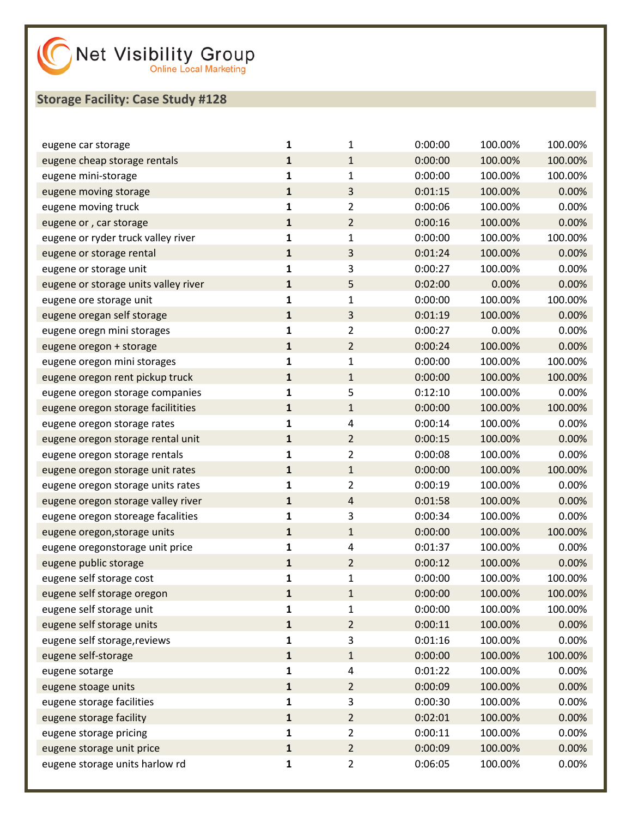| eugene car storage                   | 1            | 1              | 0:00:00 | 100.00% | 100.00% |
|--------------------------------------|--------------|----------------|---------|---------|---------|
| eugene cheap storage rentals         | $\mathbf{1}$ | $\mathbf{1}$   | 0:00:00 | 100.00% | 100.00% |
| eugene mini-storage                  | 1            | 1              | 0:00:00 | 100.00% | 100.00% |
| eugene moving storage                | $\mathbf{1}$ | 3              | 0:01:15 | 100.00% | 0.00%   |
| eugene moving truck                  | 1            | 2              | 0:00:06 | 100.00% | 0.00%   |
| eugene or, car storage               | $\mathbf{1}$ | $\overline{2}$ | 0:00:16 | 100.00% | 0.00%   |
| eugene or ryder truck valley river   | 1            | 1              | 0:00:00 | 100.00% | 100.00% |
| eugene or storage rental             | $\mathbf{1}$ | 3              | 0:01:24 | 100.00% | 0.00%   |
| eugene or storage unit               | 1            | 3              | 0:00:27 | 100.00% | 0.00%   |
| eugene or storage units valley river | $\mathbf{1}$ | 5              | 0:02:00 | 0.00%   | 0.00%   |
| eugene ore storage unit              | 1            | 1              | 0:00:00 | 100.00% | 100.00% |
| eugene oregan self storage           | $\mathbf{1}$ | 3              | 0:01:19 | 100.00% | 0.00%   |
| eugene oregn mini storages           | 1            | 2              | 0:00:27 | 0.00%   | 0.00%   |
| eugene oregon + storage              | $\mathbf{1}$ | $\overline{2}$ | 0:00:24 | 100.00% | 0.00%   |
| eugene oregon mini storages          | 1            | 1              | 0:00:00 | 100.00% | 100.00% |
| eugene oregon rent pickup truck      | $\mathbf{1}$ | $\mathbf{1}$   | 0:00:00 | 100.00% | 100.00% |
| eugene oregon storage companies      | 1            | 5              | 0:12:10 | 100.00% | 0.00%   |
| eugene oregon storage facilitities   | $\mathbf{1}$ | $\mathbf{1}$   | 0:00:00 | 100.00% | 100.00% |
| eugene oregon storage rates          | 1            | 4              | 0:00:14 | 100.00% | 0.00%   |
| eugene oregon storage rental unit    | $\mathbf{1}$ | $\overline{2}$ | 0:00:15 | 100.00% | 0.00%   |
| eugene oregon storage rentals        | 1            | 2              | 0:00:08 | 100.00% | 0.00%   |
| eugene oregon storage unit rates     | $\mathbf{1}$ | $\mathbf{1}$   | 0:00:00 | 100.00% | 100.00% |
| eugene oregon storage units rates    | 1            | 2              | 0:00:19 | 100.00% | 0.00%   |
| eugene oregon storage valley river   | $\mathbf{1}$ | $\overline{4}$ | 0:01:58 | 100.00% | 0.00%   |
| eugene oregon storeage facalities    | 1            | 3              | 0:00:34 | 100.00% | 0.00%   |
| eugene oregon, storage units         | $\mathbf{1}$ | $\mathbf{1}$   | 0:00:00 | 100.00% | 100.00% |
| eugene oregonstorage unit price      | 1            | 4              | 0:01:37 | 100.00% | 0.00%   |
| eugene public storage                | $\mathbf{1}$ | $\overline{2}$ | 0:00:12 | 100.00% | 0.00%   |
| eugene self storage cost             | 1            | 1              | 0:00:00 | 100.00% | 100.00% |
| eugene self storage oregon           | $\mathbf{1}$ | $\mathbf 1$    | 0:00:00 | 100.00% | 100.00% |
| eugene self storage unit             | 1            | 1              | 0:00:00 | 100.00% | 100.00% |
| eugene self storage units            | $\mathbf{1}$ | $\overline{2}$ | 0:00:11 | 100.00% | 0.00%   |
| eugene self storage, reviews         | $\mathbf{1}$ | 3              | 0:01:16 | 100.00% | 0.00%   |
| eugene self-storage                  | $\mathbf{1}$ | $\mathbf{1}$   | 0:00:00 | 100.00% | 100.00% |
| eugene sotarge                       | 1            | 4              | 0:01:22 | 100.00% | 0.00%   |
| eugene stoage units                  | $\mathbf{1}$ | $\overline{2}$ | 0:00:09 | 100.00% | 0.00%   |
| eugene storage facilities            | $\mathbf 1$  | 3              | 0:00:30 | 100.00% | 0.00%   |
| eugene storage facility              | $\mathbf{1}$ | $\overline{2}$ | 0:02:01 | 100.00% | 0.00%   |
| eugene storage pricing               | 1            | 2              | 0:00:11 | 100.00% | 0.00%   |
| eugene storage unit price            | $\mathbf{1}$ | $\overline{2}$ | 0:00:09 | 100.00% | 0.00%   |
| eugene storage units harlow rd       | 1            | $\overline{2}$ | 0:06:05 | 100.00% | 0.00%   |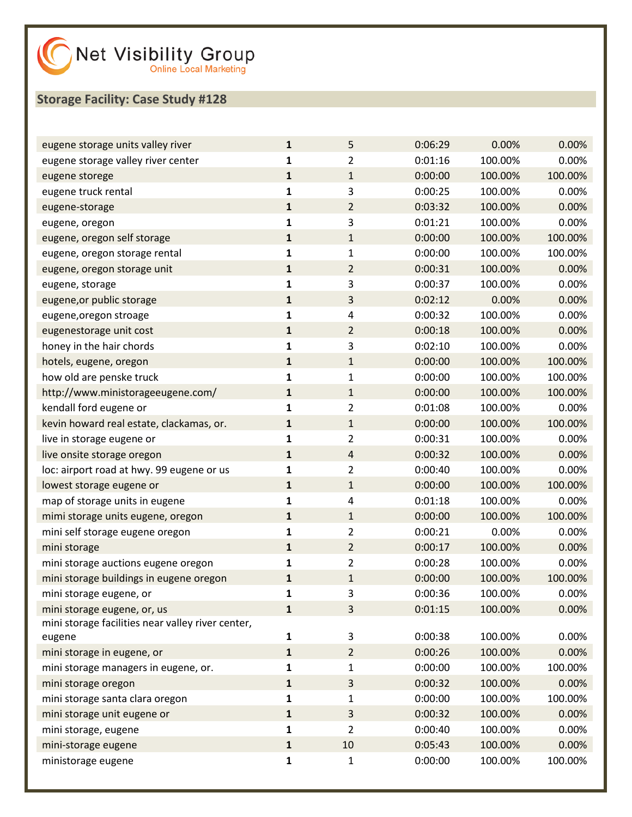| eugene storage units valley river                 | $\mathbf{1}$ | 5              | 0:06:29 | 0.00%   | 0.00%   |
|---------------------------------------------------|--------------|----------------|---------|---------|---------|
| eugene storage valley river center                | 1            | $\overline{2}$ | 0:01:16 | 100.00% | 0.00%   |
| eugene storege                                    | 1            | $\mathbf{1}$   | 0:00:00 | 100.00% | 100.00% |
| eugene truck rental                               | 1            | 3              | 0:00:25 | 100.00% | 0.00%   |
| eugene-storage                                    | $\mathbf{1}$ | $\overline{2}$ | 0:03:32 | 100.00% | 0.00%   |
| eugene, oregon                                    | 1            | 3              | 0:01:21 | 100.00% | 0.00%   |
| eugene, oregon self storage                       | $\mathbf{1}$ | $\mathbf{1}$   | 0:00:00 | 100.00% | 100.00% |
| eugene, oregon storage rental                     | 1            | $\mathbf{1}$   | 0:00:00 | 100.00% | 100.00% |
| eugene, oregon storage unit                       | 1            | $\overline{2}$ | 0:00:31 | 100.00% | 0.00%   |
| eugene, storage                                   | 1            | 3              | 0:00:37 | 100.00% | 0.00%   |
| eugene, or public storage                         | $\mathbf{1}$ | 3              | 0:02:12 | 0.00%   | 0.00%   |
| eugene, oregon stroage                            | 1            | 4              | 0:00:32 | 100.00% | 0.00%   |
| eugenestorage unit cost                           | 1            | $\overline{2}$ | 0:00:18 | 100.00% | 0.00%   |
| honey in the hair chords                          | 1            | 3              | 0:02:10 | 100.00% | 0.00%   |
| hotels, eugene, oregon                            | $\mathbf{1}$ | $\mathbf{1}$   | 0:00:00 | 100.00% | 100.00% |
| how old are penske truck                          | 1            | $\mathbf 1$    | 0:00:00 | 100.00% | 100.00% |
| http://www.ministorageeugene.com/                 | 1            | $\mathbf{1}$   | 0:00:00 | 100.00% | 100.00% |
| kendall ford eugene or                            | 1            | $\overline{2}$ | 0:01:08 | 100.00% | 0.00%   |
| kevin howard real estate, clackamas, or.          | $\mathbf{1}$ | $\mathbf{1}$   | 0:00:00 | 100.00% | 100.00% |
| live in storage eugene or                         | 1            | $\overline{2}$ | 0:00:31 | 100.00% | 0.00%   |
| live onsite storage oregon                        | 1            | $\overline{4}$ | 0:00:32 | 100.00% | 0.00%   |
| loc: airport road at hwy. 99 eugene or us         | 1            | $\overline{2}$ | 0:00:40 | 100.00% | 0.00%   |
| lowest storage eugene or                          | $\mathbf{1}$ | $\mathbf{1}$   | 0:00:00 | 100.00% | 100.00% |
| map of storage units in eugene                    | 1            | 4              | 0:01:18 | 100.00% | 0.00%   |
| mimi storage units eugene, oregon                 | 1            | $\mathbf{1}$   | 0:00:00 | 100.00% | 100.00% |
| mini self storage eugene oregon                   | 1            | $\overline{2}$ | 0:00:21 | 0.00%   | 0.00%   |
| mini storage                                      | $\mathbf{1}$ | $\overline{2}$ | 0:00:17 | 100.00% | 0.00%   |
| mini storage auctions eugene oregon               | 1            | $\overline{2}$ | 0:00:28 | 100.00% | 0.00%   |
| mini storage buildings in eugene oregon           | 1            | $\mathbf{1}$   | 0:00:00 | 100.00% | 100.00% |
| mini storage eugene, or                           | 1            | 3              | 0:00:36 | 100.00% | 0.00%   |
| mini storage eugene, or, us                       | $\mathbf{1}$ | 3              | 0:01:15 | 100.00% | 0.00%   |
| mini storage facilities near valley river center, |              |                |         |         |         |
| eugene                                            | 1            | 3              | 0:00:38 | 100.00% | 0.00%   |
| mini storage in eugene, or                        | $\mathbf{1}$ | $\overline{2}$ | 0:00:26 | 100.00% | 0.00%   |
| mini storage managers in eugene, or.              | 1            | $\mathbf{1}$   | 0:00:00 | 100.00% | 100.00% |
| mini storage oregon                               | 1            | 3              | 0:00:32 | 100.00% | 0.00%   |
| mini storage santa clara oregon                   | 1            | 1              | 0:00:00 | 100.00% | 100.00% |
| mini storage unit eugene or                       | 1            | 3              | 0:00:32 | 100.00% | 0.00%   |
| mini storage, eugene                              | 1            | $\overline{2}$ | 0:00:40 | 100.00% | 0.00%   |
| mini-storage eugene                               | $\mathbf{1}$ | 10             | 0:05:43 | 100.00% | 0.00%   |
| ministorage eugene                                | 1            | 1              | 0:00:00 | 100.00% | 100.00% |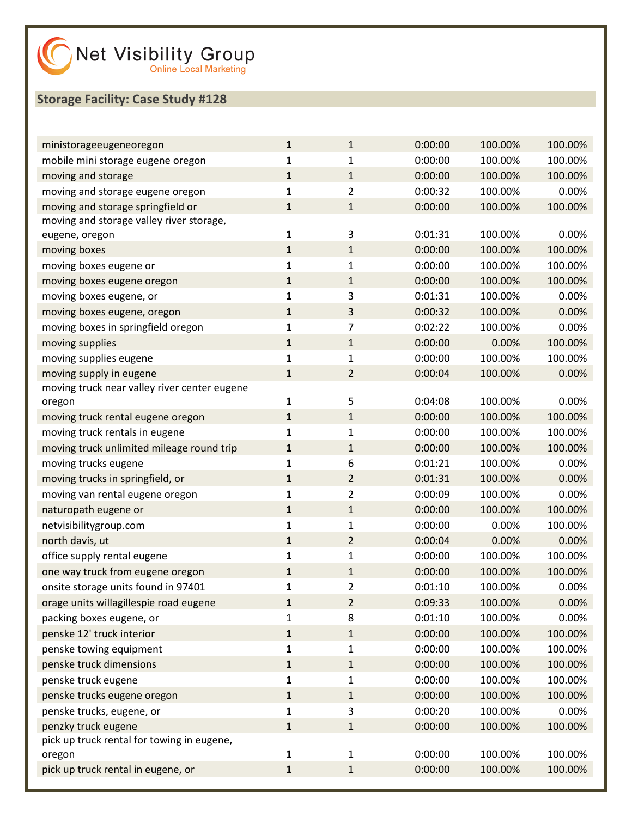| ministorageeugeneoregon                      | $\mathbf{1}$ | 1              | 0:00:00 | 100.00% | 100.00% |
|----------------------------------------------|--------------|----------------|---------|---------|---------|
| mobile mini storage eugene oregon            | 1            | 1              | 0:00:00 | 100.00% | 100.00% |
| moving and storage                           | $\mathbf{1}$ | $\mathbf{1}$   | 0:00:00 | 100.00% | 100.00% |
| moving and storage eugene oregon             | $\mathbf{1}$ | $\overline{2}$ | 0:00:32 | 100.00% | 0.00%   |
| moving and storage springfield or            | $\mathbf{1}$ | $\mathbf{1}$   | 0:00:00 | 100.00% | 100.00% |
| moving and storage valley river storage,     |              |                |         |         |         |
| eugene, oregon                               | $\mathbf{1}$ | 3              | 0:01:31 | 100.00% | 0.00%   |
| moving boxes                                 | $\mathbf{1}$ | $\mathbf{1}$   | 0:00:00 | 100.00% | 100.00% |
| moving boxes eugene or                       | $\mathbf 1$  | $\mathbf{1}$   | 0:00:00 | 100.00% | 100.00% |
| moving boxes eugene oregon                   | 1            | $\mathbf{1}$   | 0:00:00 | 100.00% | 100.00% |
| moving boxes eugene, or                      | $\mathbf 1$  | 3              | 0:01:31 | 100.00% | 0.00%   |
| moving boxes eugene, oregon                  | $\mathbf{1}$ | 3              | 0:00:32 | 100.00% | 0.00%   |
| moving boxes in springfield oregon           | $\mathbf 1$  | $\overline{7}$ | 0:02:22 | 100.00% | 0.00%   |
| moving supplies                              | 1            | $\mathbf{1}$   | 0:00:00 | 0.00%   | 100.00% |
| moving supplies eugene                       | $\mathbf 1$  | $\mathbf{1}$   | 0:00:00 | 100.00% | 100.00% |
| moving supply in eugene                      | $\mathbf{1}$ | $\overline{2}$ | 0:00:04 | 100.00% | 0.00%   |
| moving truck near valley river center eugene |              |                |         |         |         |
| oregon                                       | 1            | 5              | 0:04:08 | 100.00% | 0.00%   |
| moving truck rental eugene oregon            | 1            | $\mathbf{1}$   | 0:00:00 | 100.00% | 100.00% |
| moving truck rentals in eugene               | $\mathbf 1$  | $\mathbf{1}$   | 0:00:00 | 100.00% | 100.00% |
| moving truck unlimited mileage round trip    | $\mathbf{1}$ | $\mathbf{1}$   | 0:00:00 | 100.00% | 100.00% |
| moving trucks eugene                         | 1            | 6              | 0:01:21 | 100.00% | 0.00%   |
| moving trucks in springfield, or             | $\mathbf{1}$ | $\overline{2}$ | 0:01:31 | 100.00% | 0.00%   |
| moving van rental eugene oregon              | $\mathbf 1$  | $\overline{2}$ | 0:00:09 | 100.00% | 0.00%   |
| naturopath eugene or                         | $\mathbf{1}$ | $\mathbf{1}$   | 0:00:00 | 100.00% | 100.00% |
| netvisibilitygroup.com                       | 1            | $\mathbf{1}$   | 0:00:00 | 0.00%   | 100.00% |
| north davis, ut                              | 1            | $\overline{2}$ | 0:00:04 | 0.00%   | 0.00%   |
| office supply rental eugene                  | $\mathbf 1$  | $\mathbf{1}$   | 0:00:00 | 100.00% | 100.00% |
| one way truck from eugene oregon             | 1            | $\mathbf{1}$   | 0:00:00 | 100.00% | 100.00% |
| onsite storage units found in 97401          | 1            | $\overline{2}$ | 0:01:10 | 100.00% | 0.00%   |
| orage units willagillespie road eugene       | 1            | 2              | 0:09:33 | 100.00% | 0.00%   |
| packing boxes eugene, or                     | 1            | 8              | 0:01:10 | 100.00% | 0.00%   |
| penske 12' truck interior                    | $\mathbf{1}$ | 1              | 0:00:00 | 100.00% | 100.00% |
| penske towing equipment                      | 1            | 1              | 0:00:00 | 100.00% | 100.00% |
| penske truck dimensions                      | $\mathbf{1}$ | $\mathbf{1}$   | 0:00:00 | 100.00% | 100.00% |
| penske truck eugene                          | $\mathbf{1}$ | $\mathbf{1}$   | 0:00:00 | 100.00% | 100.00% |
| penske trucks eugene oregon                  | $\mathbf{1}$ | 1              | 0:00:00 | 100.00% | 100.00% |
| penske trucks, eugene, or                    | 1            | 3              | 0:00:20 | 100.00% | 0.00%   |
| penzky truck eugene                          | $\mathbf{1}$ | $1\,$          | 0:00:00 | 100.00% | 100.00% |
| pick up truck rental for towing in eugene,   |              |                |         |         |         |
| oregon                                       | $\mathbf{1}$ | 1              | 0:00:00 | 100.00% | 100.00% |
| pick up truck rental in eugene, or           | $\mathbf{1}$ | $\mathbf{1}$   | 0:00:00 | 100.00% | 100.00% |
|                                              |              |                |         |         |         |